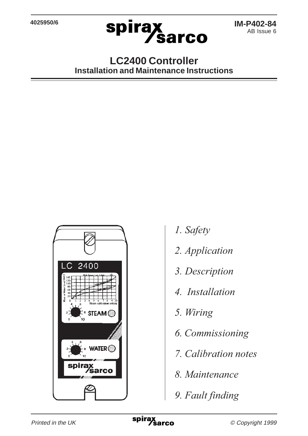

### **LC2400 Controller Installation and Maintenance Instructions**



- *1. Safety*
- *2. Application*
- *3. Description*
- *4. Installation*
- *5. Wiring*
- *6. Commissioning*
- *7. Calibration notes*
- *8. Maintenance*
- *9. Fault finding*

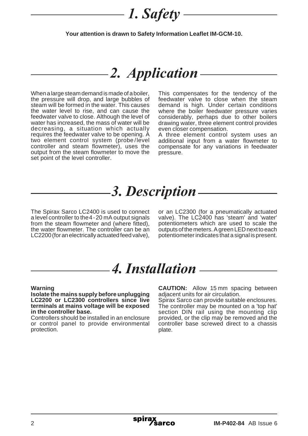### *1. Safety*

**Your attention is drawn to Safety Information Leaflet IM-GCM-10.**

### *2. Application*

When a large steam demand is made of a boiler, the pressure will drop, and large bubbles of steam will be formed in the water. This causes the water level to rise, and can cause the feedwater valve to close. Although the level of water has increased, the mass of water will be decreasing, a situation which actually requires the feedwater valve to be opening. A two element control system (probe/level controller and steam flowmeter), uses the output from the steam flowmeter to move the set point of the level controller.

This compensates for the tendency of the feedwater valve to close when the steam demand is high. Under certain conditions where the boiler feedwater pressure varies considerably, perhaps due to other boilers drawing water, three element control provides even closer compensation.

A three element control system uses an additional input from a water flowmeter to compensate for any variations in feedwater pressure.

### *3. Description*

The Spirax Sarco LC2400 is used to connect a level controller to the 4-20 mA output signals from the steam flowmeter and (where fitted), the water flowmeter. The controller can be an LC2200 (for an electrically actuated feed valve), or an LC2300 (for a pneumatically actuated valve). The LC2400 has 'steam' and 'water' potentiometers which are used to scale the outputs of the meters. A green LED next to each potentiometer indicates that a signal is present.

### *4. Installation*

#### **Warning**

**Isolate the mains supply before unplugging LC2200 or LC2300 controllers since live terminals at mains voltage will be exposed in the controller base.**

Controllers should be installed in an enclosure or control panel to provide environmental protection.

**CAUTION:** Allow 15 mm spacing between adjacent units for air circulation.

Spirax Sarco can provide suitable enclosures. The controller may be mounted on a 'top hat' section DIN rail using the mounting clip provided, or the clip may be removed and the controller base screwed direct to a chassis plate.

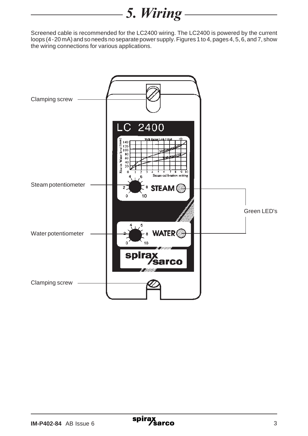### *5. Wiring*

Screened cable is recommended for the LC2400 wiring. The LC2400 is powered by the current loops (4-20 mA) and so needs no separate power supply. Figures 1 to 4, pages 4, 5, 6, and 7, show the wiring connections for various applications.

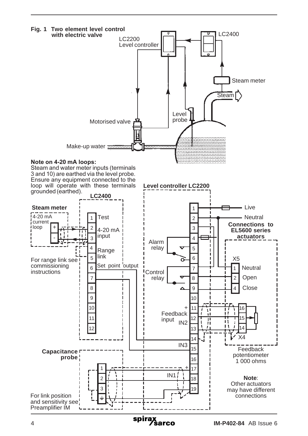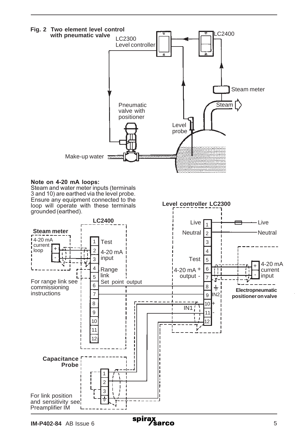

#### **Note on 4-20 mA loops:**

Steam and water meter inputs (terminals 3 and 10) are earthed via the level probe. Ensure any equipment connected to the loop will operate with these terminals grounded (earthed).



**Level controller LC2300**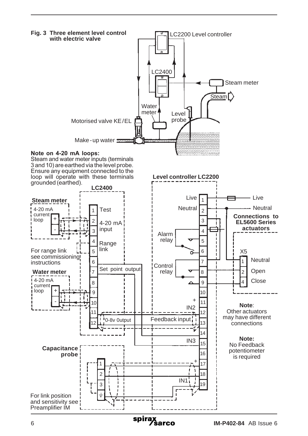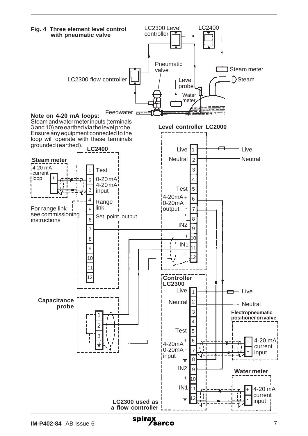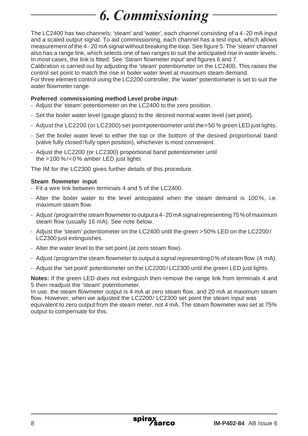# *6. Commissioning*

The LC2400 has two channels; 'steam' and 'water', each channel consisting of a 4-20 mA input and a scaled output signal. To aid commissioning, each channel has a test input, which allows measurement of the 4 - 20 mA signal without breaking the loop. See figure 5. The 'steam' channel also has a range link, which selects one of two ranges to suit the anticipated rise in water levels. In most cases, the link is fitted. See 'Steam flowmeter input' and figures 6 and 7.

Calibration is carried out by adjusting the 'steam' potentiometer on the LC2400. This raises the control set point to match the rise in boiler water level at maximum steam demand.

For three element control using the LC2200 controller, the 'water' potentiometer is set to suit the water flowmeter range.

#### **Preferred commissioning method Level probe input-**

- Adjust the 'steam' potentiometer on the LC2400 to the zero position.
- Set the boiler water level (gauge glass) to the desired normal water level (set point).
- Adjust the LC2200 (or LC2300) set point potentiometer until the > 50 % green LED just lights.
- Set the boiler water level to either the top or the bottom of the desired proportional band (valve fully closed/fully open position), whichever is most convenient.
- Adjust the LC2200 (or LC2300) proportional band potentiometer until the >100 %/<0 % amber LED just lights

The IM for the LC2300 gives further details of this procedure.

#### **Steam flowmeter input**

- Fit a wire link between terminals 4 and 5 of the LC2400.
- Alter the boiler water to the level anticipated when the steam demand is 100 %, i.e. maximum steam flow.
- Adjust /program the steam flowmeter to output a 4-20 mA signal representing 75% of maximum steam flow (usually 16 mA). See note below.
- Adjust the 'steam' potentiometer on the LC2400 until the green >50% LED on the LC2200 / LC2300 just extinguishes.
- Alter the water level to the set point (at zero steam flow).
- Adjust /program the steam flowmeter to output a signal representing 0% of steam flow (4 mA).
- Adjust the 'set point' potentiometer on the LC2200/ LC2300 until the green LED just lights.

**Notes:** If the green LED does not extinguish then remove the range link from terminals 4 and 5 then readjust the 'steam' potentiometer.

In use, the steam flowmeter output is 4 mA at zero steam flow, and 20 mA at maximum steam flow. However, when we adjusted the LC2200/ LC2300 set point the steam input was equivalent to zero output from the steam meter, not 4 mA. The steam flowmeter was set at 75% output to compensate for this.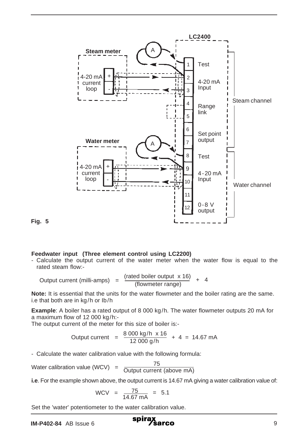

**Fig. 5**

#### **Feedwater input (Three element control using LC2200)**

- Calculate the output current of the water meter when the water flow is equal to the rated steam flow:-

Output current (milli-amps) =  $\frac{\text{(rated boiler output x 16)}}{\text{(flowerter range)}} + 4$ 

**Note:** It is essential that the units for the water flowmeter and the boiler rating are the same. i.e that both are in kg/h or Ib/h

**Example**: A boiler has a rated output of 8 000 kg/h. The water flowmeter outputs 20 mA for a maximum flow of 12 000 kg/h:-

The output current of the meter for this size of boiler is:-

Output current = 
$$
\frac{8\ 000\ \text{kg/h}\ \times 16}{12\ 000\ \text{g/h}} + 4 = 14.67\ \text{mA}
$$

- Calculate the water calibration value with the following formula:

Water calibration value (WCV) =  $\frac{75}{\text{Output current (above mA)}}$ 

**i.e**. For the example shown above, the output current is 14.67 mA giving a water calibration value of:

$$
WCV = \frac{75}{14.67 \text{ mA}} = 5.1
$$

Set the 'water' potentiometer to the water calibration value.

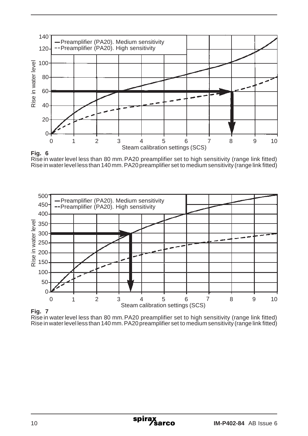



Rise in water level less than 80 mm. PA20 preamplifier set to high sensitivity (range link fitted) Rise in water level less than 140 mm. PA20 preamplifier set to medium sensitivity (range link fitted)





Rise in water level less than 80 mm. PA20 preamplifier set to high sensitivity (range link fitted) Rise in water level less than 140 mm. PA20 preamplifier set to medium sensitivity (range link fitted)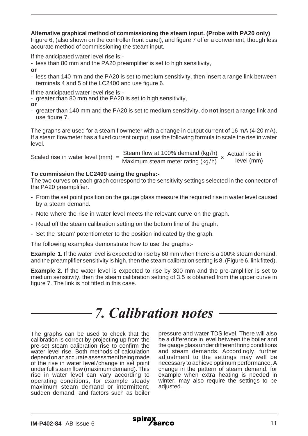#### **Alternative graphical method of commissioning the steam input. (Probe with PA20 only)**

Figure 6, (also shown on the controller front panel), and figure 7 offer a convenient, though less accurate method of commissioning the steam input.

If the anticipated water level rise is:-

- less than 80 mm and the PA20 preamplifier is set to high sensitivity,

**or**

- less than 140 mm and the PA20 is set to medium sensitivity, then insert a range link between terminals 4 and 5 of the LC2400 and use figure 6.

If the anticipated water level rise is:-

- greater than 80 mm and the PA20 is set to high sensitivity,

**or**

- greater than 140 mm and the PA20 is set to medium sensitivity, do **not** insert a range link and use figure 7.

The graphs are used for a steam flowmeter with a change in output current of 16 mA (4-20 mA). If a steam flowmeter has a fixed current output, use the following formula to scale the rise in water level.

Scaled rise in water level (mm) =  $\frac{\text{Steam flow at 100\% demand (kg/h)}{\text{Maximum steam meter rating (kg/h)}} \times \frac{\text{Actual rise in}}{\text{level (mm)}}$ x Actual rise in

#### **To commission the LC2400 using the graphs:-**

The two curves on each graph correspond to the sensitivity settings selected in the connector of the PA20 preamplifier.

- From the set point position on the gauge glass measure the required rise in water level caused by a steam demand.
- Note where the rise in water level meets the relevant curve on the graph.
- Read off the steam calibration setting on the bottom line of the graph.
- Set the 'steam' potentiometer to the position indicated by the graph.

The following examples demonstrate how to use the graphs:-

**Example 1.** If the water level is expected to rise by 60 mm when there is a 100% steam demand, and the preamplifier sensitivity is high, then the steam calibration setting is 8. (Figure 6, link fitted).

**Example 2.** If the water level is expected to rise by 300 mm and the pre-amplifier is set to medium sensitivity, then the steam calibration setting of 3.5 is obtained from the upper curve in figure 7. The link is not fitted in this case.

### *7. Calibration notes*

The graphs can be used to check that the calibration is correct by projecting up from the pre-set steam calibration rise to confirm the water level rise. Both methods of calculation depend on an accurate assessment being made of the rise in water level/change in set point under full steam flow (maximum demand). This rise in water level can vary according to operating conditions, for example steady maximum steam demand or intermittent, sudden demand, and factors such as boiler

pressure and water TDS level. There will also be a difference in level between the boiler and the gauge glass under different firing conditions and steam demands. Accordingly, further adjustment to the settings may well be necessary to achieve optimum performance. A change in the pattern of steam demand, for example when extra heating is needed in winter, may also require the settings to be adjusted.